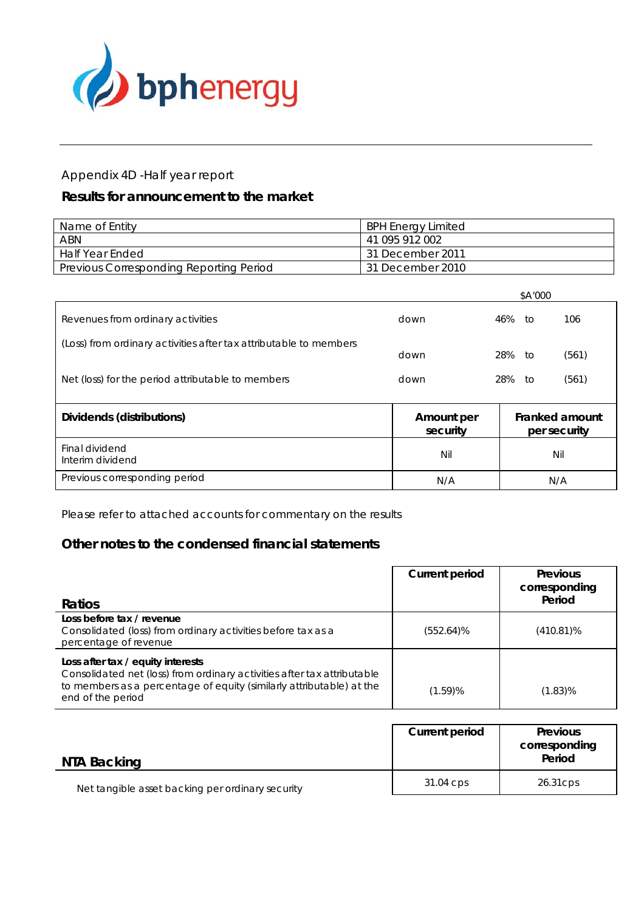

#### Appendix 4D -Half year report

#### *Results for announcement to the market*

| Name of Entity                                 | <b>BPH Energy Limited</b>     |
|------------------------------------------------|-------------------------------|
| ABN                                            | 41 095 912 002                |
| Half Year Ended                                | <sup>1</sup> 31 December 2011 |
| <b>Previous Corresponding Reporting Period</b> | 31 December 2010              |

|                                                                   |            | \$A'000    |                |
|-------------------------------------------------------------------|------------|------------|----------------|
| Revenues from ordinary activities                                 | down       | 46%<br>to. | 106            |
| (Loss) from ordinary activities after tax attributable to members | down       | 28%<br>to  | (561)          |
| Net (loss) for the period attributable to members                 | down       | 28%<br>to  | (561)          |
| Dividends (distributions)                                         | Amount per |            | Franked amount |

| Dividends (distributions)          | Amount per<br>security | Franked amount<br>per security |
|------------------------------------|------------------------|--------------------------------|
| Final dividend<br>Interim dividend | Nil                    | Nil                            |
| Previous corresponding period      | N/A                    | N/A                            |

Please refer to attached accounts for commentary on the results

#### **Other notes to the condensed financial statements**

| <b>Ratios</b>                                                                                                                                                                                             | <b>Current period</b> | <b>Previous</b><br>corresponding<br>Period |
|-----------------------------------------------------------------------------------------------------------------------------------------------------------------------------------------------------------|-----------------------|--------------------------------------------|
| Loss before tax / revenue<br>Consolidated (loss) from ordinary activities before tax as a<br>percentage of revenue                                                                                        | $(552.64)\%$          | $(410.81)\%$                               |
| Loss after tax / equity interests<br>Consolidated net (loss) from ordinary activities after tax attributable<br>to members as a percentage of equity (similarly attributable) at the<br>end of the period | $(1.59)$ %            | (1.83)%                                    |

| NTA Backing                                      | Current period | <b>Previous</b><br>corresponding<br>Period |
|--------------------------------------------------|----------------|--------------------------------------------|
| Net tangible asset backing per ordinary security | 31.04 cps      | 26.31 cps                                  |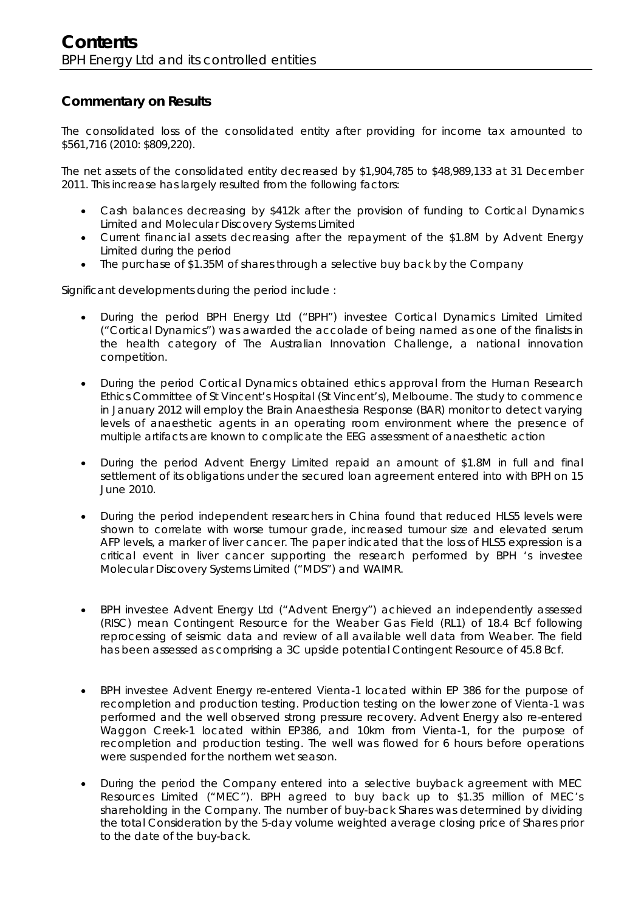#### **Commentary on Results**

The consolidated loss of the consolidated entity after providing for income tax amounted to \$561,716 (2010: \$809,220).

The net assets of the consolidated entity decreased by \$1,904,785 to \$48,989,133 at 31 December 2011. This increase has largely resulted from the following factors:

- Cash balances decreasing by \$412k after the provision of funding to Cortical Dynamics Limited and Molecular Discovery Systems Limited
- Current financial assets decreasing after the repayment of the \$1.8M by Advent Energy Limited during the period
- The purchase of \$1.35M of shares through a selective buy back by the Company

Significant developments during the period include :

- During the period BPH Energy Ltd ("BPH") investee Cortical Dynamics Limited Limited ("Cortical Dynamics") was awarded the accolade of being named as one of the finalists in the health category of The Australian Innovation Challenge, a national innovation competition.
- During the period Cortical Dynamics obtained ethics approval from the Human Research Ethics Committee of St Vincent's Hospital (St Vincent's), Melbourne. The study to commence in January 2012 will employ the Brain Anaesthesia Response (BAR) monitor to detect varying levels of anaesthetic agents in an operating room environment where the presence of multiple artifacts are known to complicate the EEG assessment of anaesthetic action
- During the period Advent Energy Limited repaid an amount of \$1.8M in full and final settlement of its obligations under the secured loan agreement entered into with BPH on 15 June 2010.
- During the period independent researchers in China found that reduced HLS5 levels were shown to correlate with worse tumour grade, increased tumour size and elevated serum AFP levels, a marker of liver cancer. The paper indicated that the loss of HLS5 expression is a critical event in liver cancer supporting the research performed by BPH 's investee Molecular Discovery Systems Limited ("MDS") and WAIMR.
- BPH investee Advent Energy Ltd ("Advent Energy") achieved an independently assessed (RISC) mean Contingent Resource for the Weaber Gas Field (RL1) of 18.4 Bcf following reprocessing of seismic data and review of all available well data from Weaber. The field has been assessed as comprising a 3C upside potential Contingent Resource of 45.8 Bcf.
- BPH investee Advent Energy re-entered Vienta-1 located within EP 386 for the purpose of recompletion and production testing. Production testing on the lower zone of Vienta-1 was performed and the well observed strong pressure recovery. Advent Energy also re-entered Waggon Creek-1 located within EP386, and 10km from Vienta-1, for the purpose of recompletion and production testing. The well was flowed for 6 hours before operations were suspended for the northern wet season.
- During the period the Company entered into a selective buyback agreement with MEC Resources Limited ("MEC"). BPH agreed to buy back up to \$1.35 million of MEC's shareholding in the Company. The number of buy-back Shares was determined by dividing the total Consideration by the 5-day volume weighted average closing price of Shares prior to the date of the buy-back.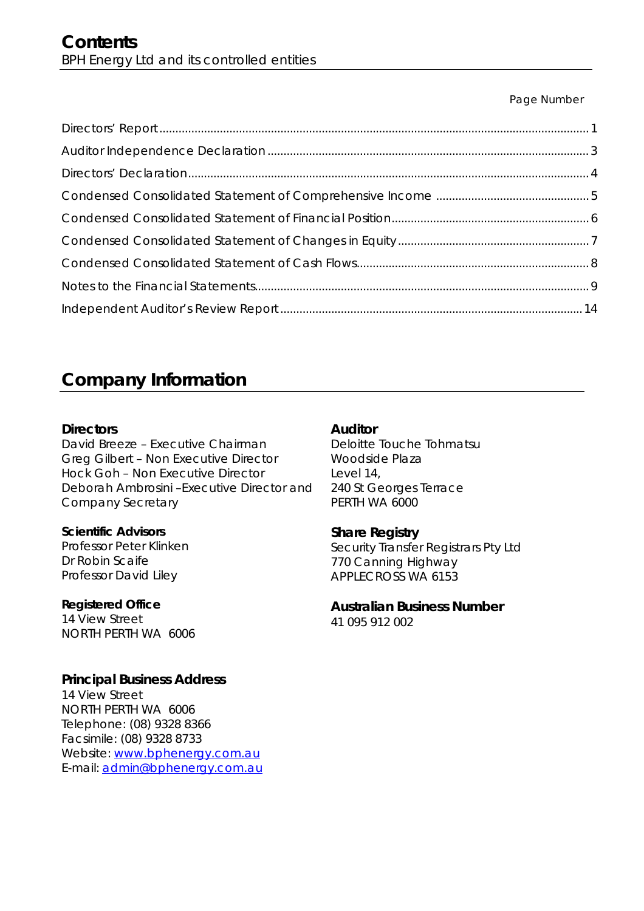#### Page Number

## **Company Information**

#### **Directors**

David Breeze – Executive Chairman Greg Gilbert – Non Executive Director Hock Goh – Non Executive Director Deborah Ambrosini –Executive Director and Company Secretary

#### **Scientific Advisors**

Professor Peter Klinken Dr Robin Scaife Professor David Liley

**Registered Office**  14 View Street NORTH PERTH WA 6006

#### **Principal Business Address**

14 View Street NORTH PERTH WA 6006 Telephone: (08) 9328 8366 Facsimile: (08) 9328 8733 Website: www.bphenergy.com.au E-mail: admin@bphenergy.com.au

#### **Auditor**

Deloitte Touche Tohmatsu Woodside Plaza Level 14, 240 St Georges Terrace PERTH WA 6000

#### **Share Registry**

Security Transfer Registrars Pty Ltd 770 Canning Highway APPLECROSS WA 6153

## **Australian Business Number**

41 095 912 002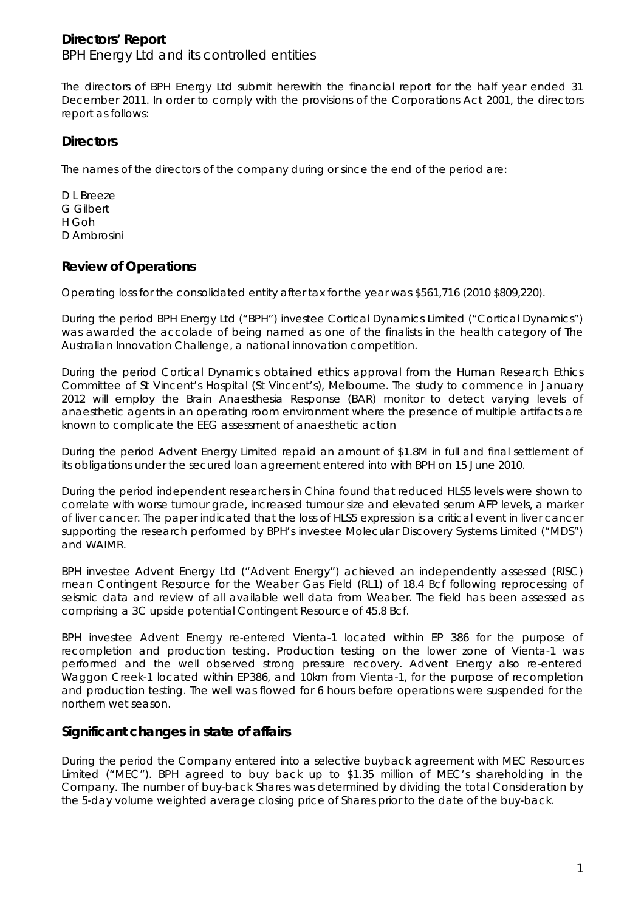#### **Directors' Report**  BPH Energy Ltd and its controlled entities

The directors of BPH Energy Ltd submit herewith the financial report for the half year ended 31 December 2011. In order to comply with the provisions of the Corporations Act 2001, the directors report as follows:

#### **Directors**

The names of the directors of the company during or since the end of the period are:

D L Breeze G Gilbert H Goh D Ambrosini

#### **Review of Operations**

Operating loss for the consolidated entity after tax for the year was \$561,716 (2010 \$809,220).

During the period BPH Energy Ltd ("BPH") investee Cortical Dynamics Limited ("Cortical Dynamics") was awarded the accolade of being named as one of the finalists in the health category of The Australian Innovation Challenge, a national innovation competition.

During the period Cortical Dynamics obtained ethics approval from the Human Research Ethics Committee of St Vincent's Hospital (St Vincent's), Melbourne. The study to commence in January 2012 will employ the Brain Anaesthesia Response (BAR) monitor to detect varying levels of anaesthetic agents in an operating room environment where the presence of multiple artifacts are known to complicate the EEG assessment of anaesthetic action

During the period Advent Energy Limited repaid an amount of \$1.8M in full and final settlement of its obligations under the secured loan agreement entered into with BPH on 15 June 2010.

During the period independent researchers in China found that reduced HLS5 levels were shown to correlate with worse tumour grade, increased tumour size and elevated serum AFP levels, a marker of liver cancer. The paper indicated that the loss of HLS5 expression is a critical event in liver cancer supporting the research performed by BPH's investee Molecular Discovery Systems Limited ("MDS") and WAIMR.

BPH investee Advent Energy Ltd ("Advent Energy") achieved an independently assessed (RISC) mean Contingent Resource for the Weaber Gas Field (RL1) of 18.4 Bcf following reprocessing of seismic data and review of all available well data from Weaber. The field has been assessed as comprising a 3C upside potential Contingent Resource of 45.8 Bcf.

BPH investee Advent Energy re-entered Vienta-1 located within EP 386 for the purpose of recompletion and production testing. Production testing on the lower zone of Vienta-1 was performed and the well observed strong pressure recovery. Advent Energy also re-entered Waggon Creek-1 located within EP386, and 10km from Vienta-1, for the purpose of recompletion and production testing. The well was flowed for 6 hours before operations were suspended for the northern wet season.

#### **Significant changes in state of affairs**

During the period the Company entered into a selective buyback agreement with MEC Resources Limited ("MEC"). BPH agreed to buy back up to \$1.35 million of MEC's shareholding in the Company. The number of buy-back Shares was determined by dividing the total Consideration by the 5-day volume weighted average closing price of Shares prior to the date of the buy-back.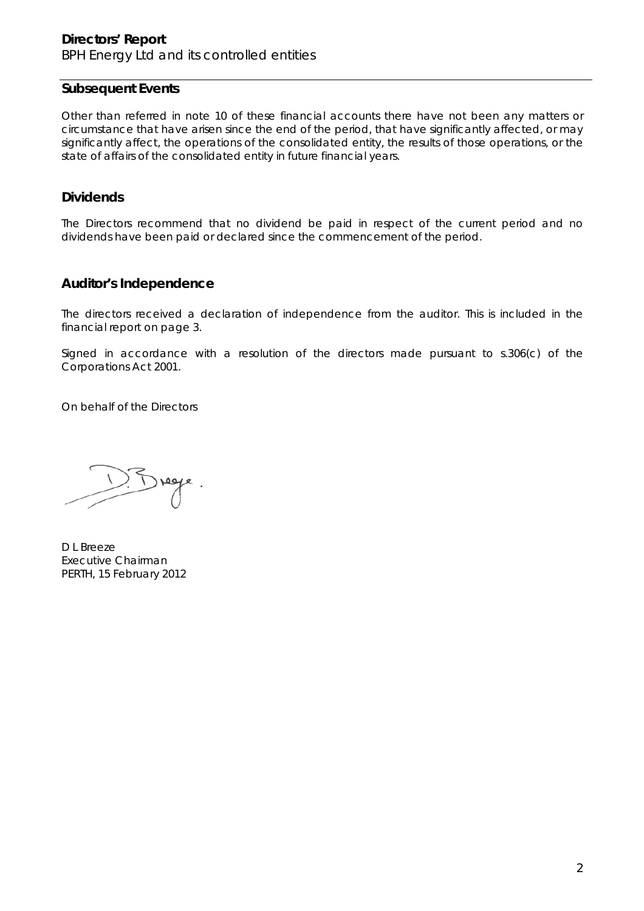#### **Directors' Report**  BPH Energy Ltd and its controlled entities

#### **Subsequent Events**

Other than referred in note 10 of these financial accounts there have not been any matters or circumstance that have arisen since the end of the period, that have significantly affected, or may significantly affect, the operations of the consolidated entity, the results of those operations, or the state of affairs of the consolidated entity in future financial years.

#### **Dividends**

The Directors recommend that no dividend be paid in respect of the current period and no dividends have been paid or declared since the commencement of the period.

#### **Auditor's Independence**

The directors received a declaration of independence from the auditor. This is included in the financial report on page 3.

Signed in accordance with a resolution of the directors made pursuant to s.306(c) of the Corporations Act 2001.

On behalf of the Directors

D L Breeze Executive Chairman PERTH, 15 February 2012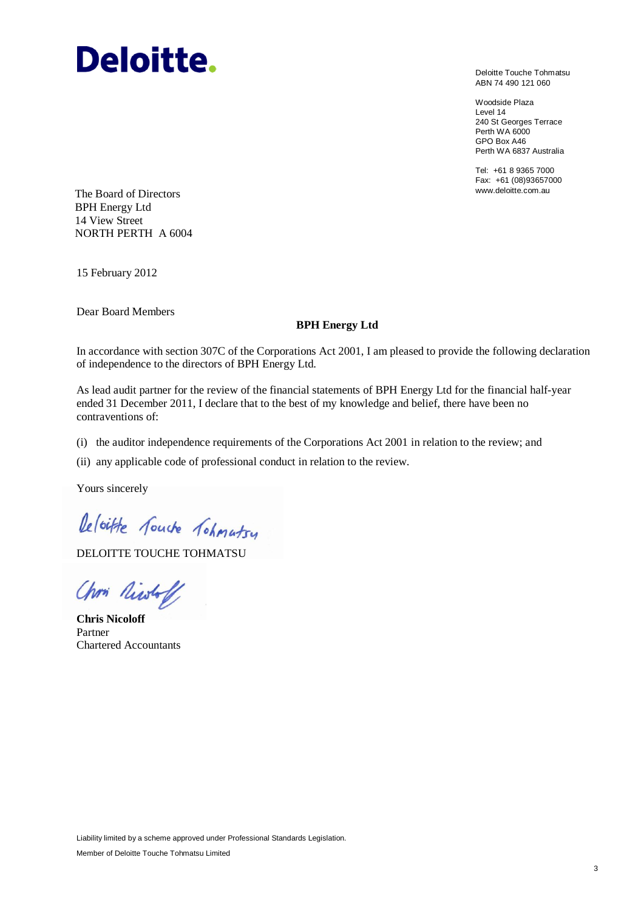# **Deloitte.**

Deloitte Touche Tohmatsu ABN 74 490 121 060

Woodside Plaza Level 14 240 St Georges Terrace Perth WA 6000 GPO Box A46 Perth WA 6837 Australia

Tel: +61 8 9365 7000 Fax: +61 (08)93657000

www.deloitte.com.au The Board of Directors BPH Energy Ltd 14 View Street NORTH PERTH A 6004

15 February 2012

Dear Board Members

#### **BPH Energy Ltd**

In accordance with section 307C of the Corporations Act 2001, I am pleased to provide the following declaration of independence to the directors of BPH Energy Ltd.

As lead audit partner for the review of the financial statements of BPH Energy Ltd for the financial half-year ended 31 December 2011, I declare that to the best of my knowledge and belief, there have been no contraventions of:

(i) the auditor independence requirements of the Corporations Act 2001 in relation to the review; and

(ii) any applicable code of professional conduct in relation to the review.

Yours sincerely

Deloitte fourte fohmatsy

DELOITTE TOUCHE TOHMATSU

Chris Niwhoff

**Chris Nicoloff** Partner Chartered Accountants

Liability limited by a scheme approved under Professional Standards Legislation.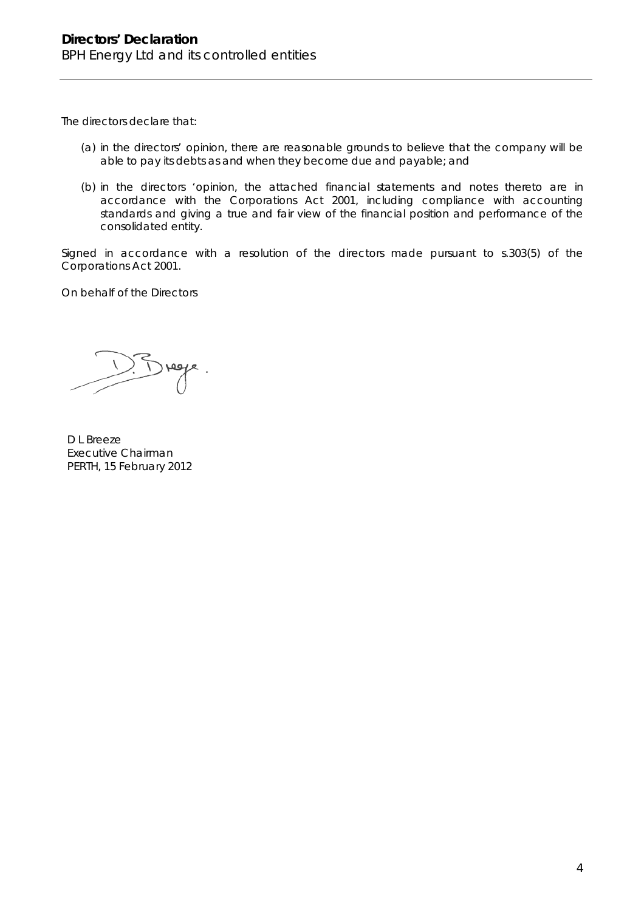The directors declare that:

- (a) in the directors' opinion, there are reasonable grounds to believe that the company will be able to pay its debts as and when they become due and payable; and
- (b) in the directors 'opinion, the attached financial statements and notes thereto are in accordance with the *Corporations Act 2001*, including compliance with accounting standards and giving a true and fair view of the financial position and performance of the consolidated entity.

Signed in accordance with a resolution of the directors made pursuant to s.303(5) of the *Corporations Act 2001*.

On behalf of the Directors

D L Breeze Executive Chairman PERTH, 15 February 2012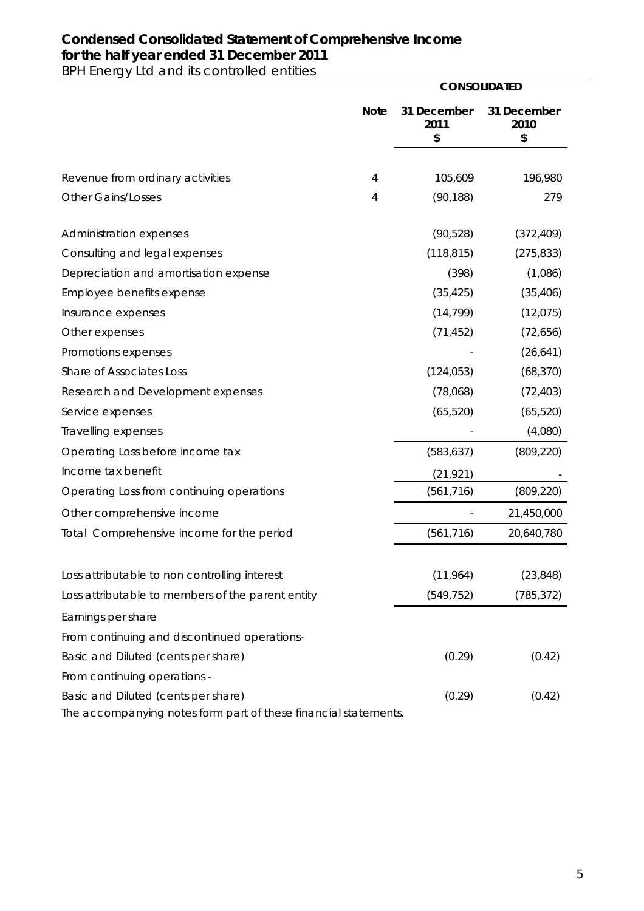### **Condensed Consolidated Statement of Comprehensive Income for the half year ended 31 December 2011**

BPH Energy Ltd and its controlled entities

|                                                                                                        |             |                           | <b>CONSOLIDATED</b>       |  |  |
|--------------------------------------------------------------------------------------------------------|-------------|---------------------------|---------------------------|--|--|
|                                                                                                        | <b>Note</b> | 31 December<br>2011<br>\$ | 31 December<br>2010<br>\$ |  |  |
|                                                                                                        |             |                           |                           |  |  |
| Revenue from ordinary activities                                                                       | 4           | 105,609                   | 196,980                   |  |  |
| <b>Other Gains/Losses</b>                                                                              | 4           | (90, 188)                 | 279                       |  |  |
| Administration expenses                                                                                |             | (90, 528)                 | (372, 409)                |  |  |
| Consulting and legal expenses                                                                          |             | (118, 815)                | (275, 833)                |  |  |
| Depreciation and amortisation expense                                                                  |             | (398)                     | (1,086)                   |  |  |
| Employee benefits expense                                                                              |             | (35, 425)                 | (35, 406)                 |  |  |
| Insurance expenses                                                                                     |             | (14, 799)                 | (12, 075)                 |  |  |
| Other expenses                                                                                         |             | (71, 452)                 | (72, 656)                 |  |  |
| Promotions expenses                                                                                    |             |                           | (26, 641)                 |  |  |
| Share of Associates Loss                                                                               |             | (124, 053)                | (68, 370)                 |  |  |
| Research and Development expenses                                                                      |             | (78,068)                  | (72, 403)                 |  |  |
| Service expenses                                                                                       |             | (65, 520)                 | (65, 520)                 |  |  |
| Travelling expenses                                                                                    |             |                           | (4,080)                   |  |  |
| Operating Loss before income tax                                                                       |             | (583, 637)                | (809, 220)                |  |  |
| Income tax benefit                                                                                     |             | (21, 921)                 |                           |  |  |
| Operating Loss from continuing operations                                                              |             | (561, 716)                | (809, 220)                |  |  |
| Other comprehensive income                                                                             |             |                           | 21,450,000                |  |  |
| Total Comprehensive income for the period                                                              |             | (561, 716)                | 20,640,780                |  |  |
| Loss attributable to non controlling interest                                                          |             | (11, 964)                 | (23, 848)                 |  |  |
| Loss attributable to members of the parent entity                                                      |             | (549, 752)                | (785, 372)                |  |  |
| Earnings per share                                                                                     |             |                           |                           |  |  |
| From continuing and discontinued operations-                                                           |             |                           |                           |  |  |
| Basic and Diluted (cents per share)                                                                    |             | (0.29)                    | (0.42)                    |  |  |
| From continuing operations -                                                                           |             |                           |                           |  |  |
| Basic and Diluted (cents per share)<br>The accompanying notes form part of these financial statements. |             | (0.29)                    | (0.42)                    |  |  |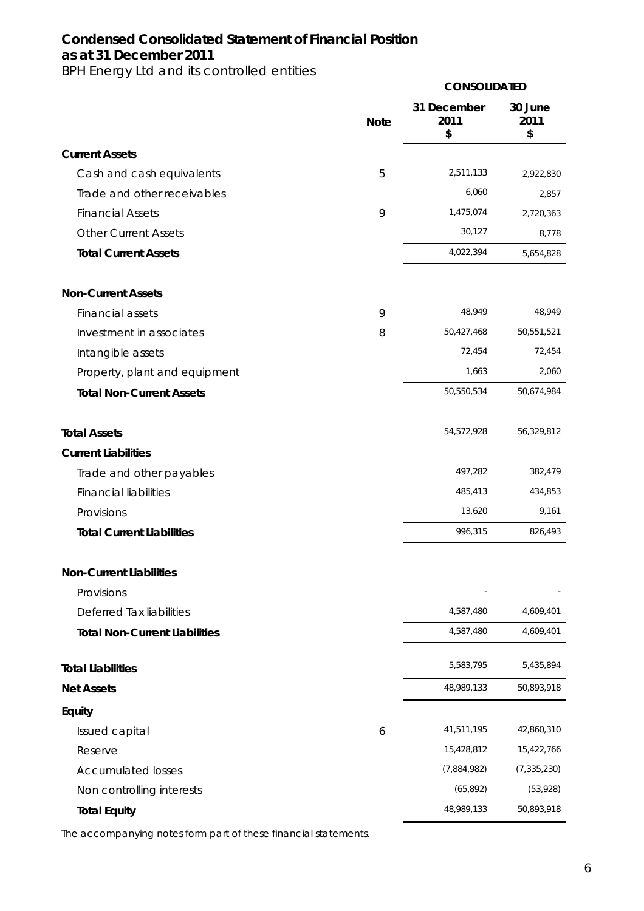#### **Condensed Consolidated Statement of Financial Position as at 31 December 2011**  BPH Energy Ltd and its controlled entities

|                                      |             | <b>CONSOLIDATED</b>       |                       |  |
|--------------------------------------|-------------|---------------------------|-----------------------|--|
|                                      | <b>Note</b> | 31 December<br>2011<br>\$ | 30 June<br>2011<br>\$ |  |
| <b>Current Assets</b>                |             |                           |                       |  |
| Cash and cash equivalents            | 5           | 2,511,133                 | 2,922,830             |  |
| Trade and other receivables          |             | 6,060                     | 2,857                 |  |
| <b>Financial Assets</b>              | 9           | 1,475,074                 | 2,720,363             |  |
| <b>Other Current Assets</b>          |             | 30,127                    | 8,778                 |  |
| <b>Total Current Assets</b>          |             | 4,022,394                 | 5,654,828             |  |
| <b>Non-Current Assets</b>            |             |                           |                       |  |
| <b>Financial assets</b>              | 9           | 48,949                    | 48,949                |  |
| Investment in associates             | 8           | 50,427,468                | 50,551,521            |  |
| Intangible assets                    |             | 72,454                    | 72,454                |  |
| Property, plant and equipment        |             | 1,663                     | 2,060                 |  |
| <b>Total Non-Current Assets</b>      |             | 50,550,534                | 50,674,984            |  |
| <b>Total Assets</b>                  |             | 54,572,928                | 56,329,812            |  |
| <b>Current Liabilities</b>           |             |                           |                       |  |
| Trade and other payables             |             | 497,282                   | 382,479               |  |
| <b>Financial liabilities</b>         |             | 485,413                   | 434,853               |  |
| Provisions                           |             | 13,620                    | 9,161                 |  |
| <b>Total Current Liabilities</b>     |             | 996,315                   | 826,493               |  |
| <b>Non-Current Liabilities</b>       |             |                           |                       |  |
| Provisions                           |             |                           |                       |  |
| Deferred Tax liabilities             |             | 4,587,480                 | 4,609,401             |  |
| <b>Total Non-Current Liabilities</b> |             | 4,587,480                 | 4,609,401             |  |
| <b>Total Liabilities</b>             |             | 5,583,795                 | 5,435,894             |  |
| <b>Net Assets</b>                    |             | 48,989,133                | 50,893,918            |  |
| Equity                               |             |                           |                       |  |
| Issued capital                       | 6           | 41,511,195                | 42,860,310            |  |
| Reserve                              |             | 15,428,812                | 15,422,766            |  |
| <b>Accumulated losses</b>            |             | (7,884,982)               | (7, 335, 230)         |  |
| Non controlling interests            |             | (65, 892)                 | (53, 928)             |  |
| <b>Total Equity</b>                  |             | 48,989,133                | 50,893,918            |  |

The accompanying notes form part of these financial statements.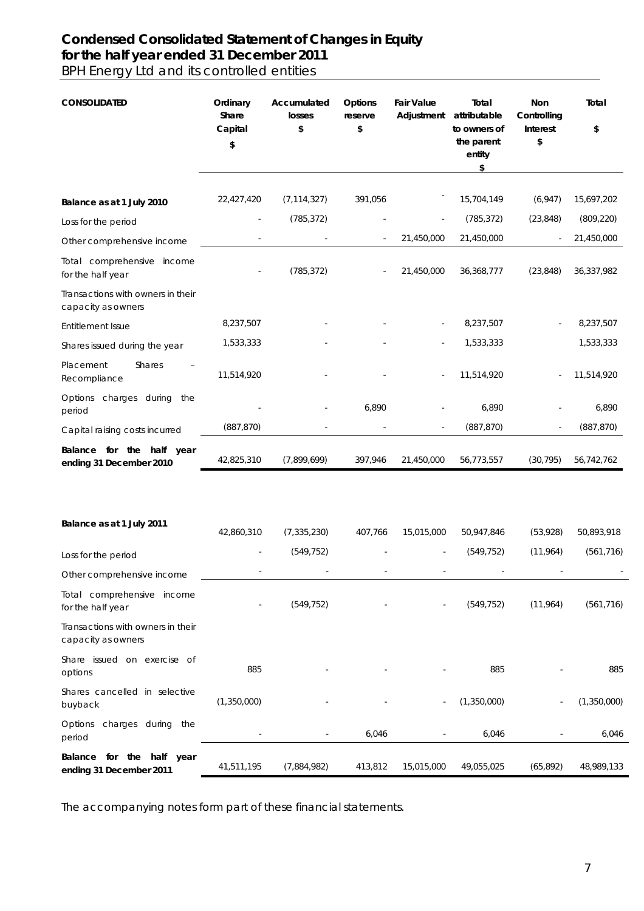#### **Condensed Consolidated Statement of Changes in Equity for the half year ended 31 December 2011**  BPH Energy Ltd and its controlled entities

| <b>CONSOLIDATED</b>                                     | Ordinary<br>Share<br>Capital<br>\$ | Accumulated<br>losses<br>\$ | Options<br>reserve<br>\$ | <b>Fair Value</b><br>Adjustment | Total<br>attributable<br>to owners of<br>the parent<br>entity<br>\$ | Non<br>Controlling<br>Interest<br>\$ | Total<br>\$ |
|---------------------------------------------------------|------------------------------------|-----------------------------|--------------------------|---------------------------------|---------------------------------------------------------------------|--------------------------------------|-------------|
| Balance as at 1 July 2010                               | 22,427,420                         | (7, 114, 327)               | 391,056                  |                                 | 15,704,149                                                          | (6, 947)                             | 15,697,202  |
| Loss for the period                                     |                                    | (785, 372)                  |                          |                                 | (785, 372)                                                          | (23, 848)                            | (809, 220)  |
| Other comprehensive income                              |                                    |                             |                          | 21,450,000                      | 21,450,000                                                          | $\blacksquare$                       | 21,450,000  |
| Total comprehensive income<br>for the half year         |                                    | (785, 372)                  |                          | 21,450,000                      | 36,368,777                                                          | (23, 848)                            | 36,337,982  |
| Transactions with owners in their<br>capacity as owners |                                    |                             |                          |                                 |                                                                     |                                      |             |
| Entitlement Issue                                       | 8,237,507                          |                             |                          |                                 | 8,237,507                                                           |                                      | 8,237,507   |
| Shares issued during the year                           | 1,533,333                          |                             |                          |                                 | 1,533,333                                                           |                                      | 1,533,333   |
| Placement<br><b>Shares</b><br>Recompliance              | 11,514,920                         |                             |                          |                                 | 11,514,920                                                          |                                      | 11,514,920  |
| Options charges during the<br>period                    |                                    |                             | 6,890                    |                                 | 6,890                                                               |                                      | 6,890       |
| Capital raising costs incurred                          | (887, 870)                         |                             |                          |                                 | (887, 870)                                                          | ä,                                   | (887, 870)  |
| Balance for the half<br>year<br>ending 31 December 2010 | 42,825,310                         | (7,899,699)                 | 397,946                  | 21,450,000                      | 56,773,557                                                          | (30, 795)                            | 56,742,762  |
| Balance as at 1 July 2011                               | 42,860,310                         | (7, 335, 230)               | 407,766                  | 15,015,000                      | 50,947,846                                                          | (53,928)                             | 50,893,918  |
| Loss for the period                                     |                                    | (549, 752)                  |                          |                                 | (549, 752)                                                          | (11,964)                             | (561, 716)  |
| Other comprehensive income                              |                                    |                             |                          |                                 |                                                                     |                                      |             |
| Total comprehensive income<br>for the half year         |                                    | (549, 752)                  |                          |                                 | (549, 752)                                                          | (11, 964)                            | (561, 716)  |
| Transactions with owners in their<br>capacity as owners |                                    |                             |                          |                                 |                                                                     |                                      |             |
| Share issued on exercise of<br>options                  | 885                                |                             |                          |                                 | 885                                                                 |                                      | 885         |
| Shares cancelled in selective<br>buyback                | (1,350,000)                        |                             |                          |                                 | (1,350,000)                                                         |                                      | (1,350,000) |
| Options charges during the<br>period                    | $\blacksquare$                     | $\frac{1}{2}$               | 6,046                    |                                 | 6,046                                                               |                                      | 6,046       |
| Balance for the half year<br>ending 31 December 2011    | 41,511,195                         | (7,884,982)                 | 413,812                  | 15,015,000                      | 49,055,025                                                          | (65, 892)                            | 48,989,133  |

The accompanying notes form part of these financial statements.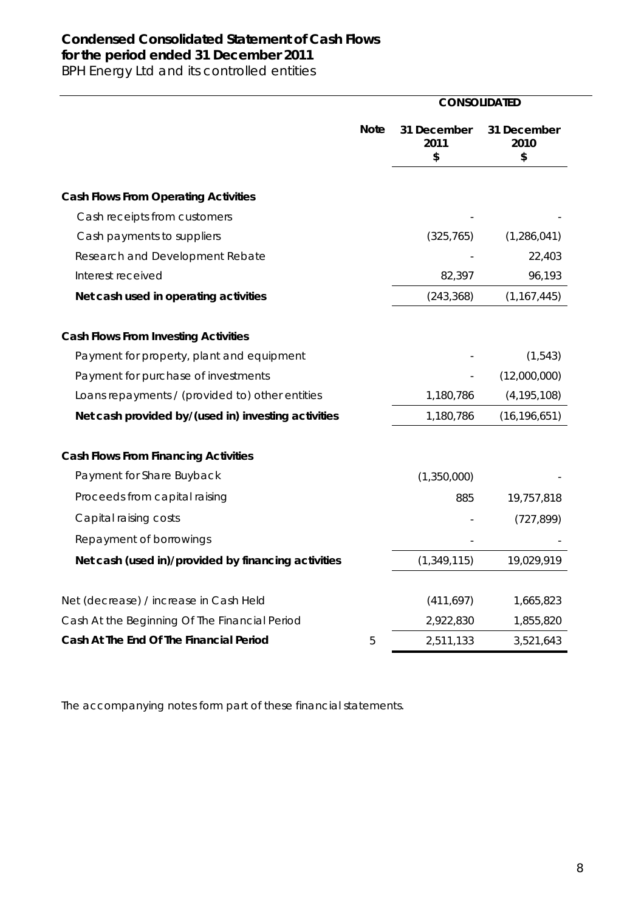### **Condensed Consolidated Statement of Cash Flows for the period ended 31 December 2011**

BPH Energy Ltd and its controlled entities

|                                                     |             | <b>CONSOLIDATED</b>       |                           |
|-----------------------------------------------------|-------------|---------------------------|---------------------------|
|                                                     | <b>Note</b> | 31 December<br>2011<br>\$ | 31 December<br>2010<br>\$ |
| <b>Cash Flows From Operating Activities</b>         |             |                           |                           |
| Cash receipts from customers                        |             |                           |                           |
| Cash payments to suppliers                          |             | (325, 765)                | (1,286,041)               |
| Research and Development Rebate                     |             |                           | 22,403                    |
| Interest received                                   |             | 82,397                    | 96,193                    |
| Net cash used in operating activities               |             | (243, 368)                | (1, 167, 445)             |
| <b>Cash Flows From Investing Activities</b>         |             |                           |                           |
| Payment for property, plant and equipment           |             |                           | (1, 543)                  |
| Payment for purchase of investments                 |             |                           | (12,000,000)              |
| Loans repayments / (provided to) other entities     |             | 1,180,786                 | (4, 195, 108)             |
| Net cash provided by/(used in) investing activities |             | 1,180,786                 | (16, 196, 651)            |
| <b>Cash Flows From Financing Activities</b>         |             |                           |                           |
| Payment for Share Buyback                           |             | (1,350,000)               |                           |
| Proceeds from capital raising                       |             | 885                       | 19,757,818                |
| Capital raising costs                               |             |                           | (727, 899)                |
| Repayment of borrowings                             |             |                           |                           |
| Net cash (used in)/provided by financing activities |             | (1, 349, 115)             | 19,029,919                |
| Net (decrease) / increase in Cash Held              |             | (411, 697)                | 1,665,823                 |
| Cash At the Beginning Of The Financial Period       |             | 2,922,830                 | 1,855,820                 |
| Cash At The End Of The Financial Period             | 5           | 2,511,133                 | 3,521,643                 |

The accompanying notes form part of these financial statements.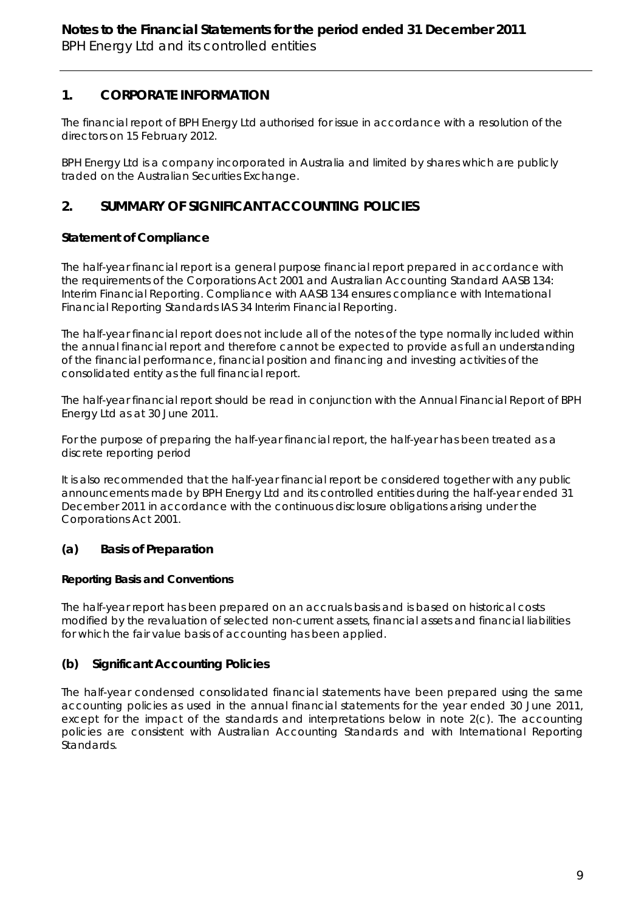#### **1. CORPORATE INFORMATION**

The financial report of BPH Energy Ltd authorised for issue in accordance with a resolution of the directors on 15 February 2012.

BPH Energy Ltd is a company incorporated in Australia and limited by shares which are publicly traded on the Australian Securities Exchange.

#### **2. SUMMARY OF SIGNIFICANT ACCOUNTING POLICIES**

#### **Statement of Compliance**

The half-year financial report is a general purpose financial report prepared in accordance with the requirements of the Corporations Act 2001 and Australian Accounting Standard AASB 134: Interim Financial Reporting. Compliance with AASB 134 ensures compliance with International Financial Reporting Standards IAS 34 Interim Financial Reporting.

The half-year financial report does not include all of the notes of the type normally included within the annual financial report and therefore cannot be expected to provide as full an understanding of the financial performance, financial position and financing and investing activities of the consolidated entity as the full financial report.

The half-year financial report should be read in conjunction with the Annual Financial Report of BPH Energy Ltd as at 30 June 2011.

For the purpose of preparing the half-year financial report, the half-year has been treated as a discrete reporting period

It is also recommended that the half-year financial report be considered together with any public announcements made by BPH Energy Ltd and its controlled entities during the half-year ended 31 December 2011 in accordance with the continuous disclosure obligations arising under the Corporations Act 2001.

#### **(a) Basis of Preparation**

#### **Reporting Basis and Conventions**

The half-year report has been prepared on an accruals basis and is based on historical costs modified by the revaluation of selected non-current assets, financial assets and financial liabilities for which the fair value basis of accounting has been applied.

#### **(b) Significant Accounting Policies**

The half-year condensed consolidated financial statements have been prepared using the same accounting policies as used in the annual financial statements for the year ended 30 June 2011, except for the impact of the standards and interpretations below in note 2(c). The accounting policies are consistent with Australian Accounting Standards and with International Reporting Standards.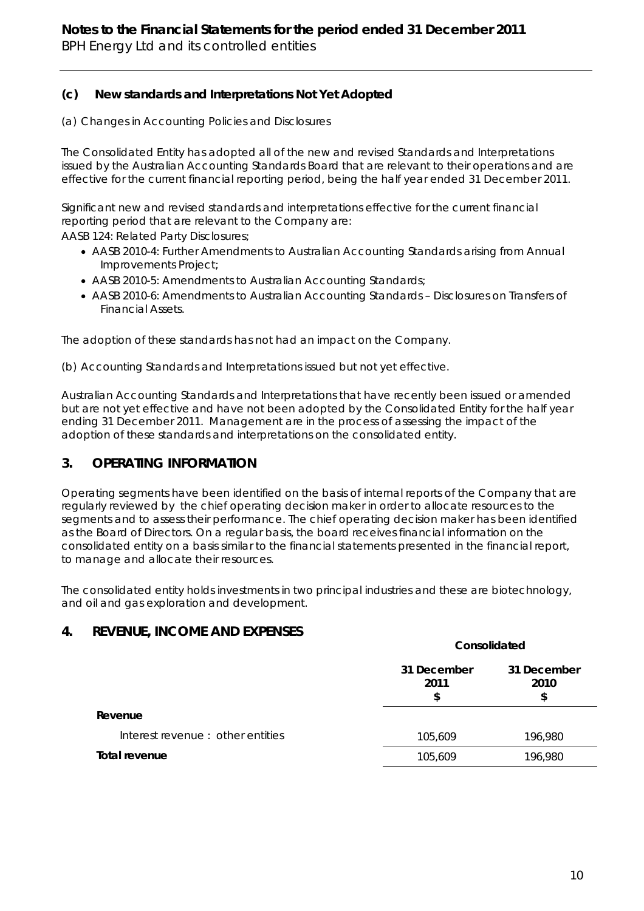#### **(c) New standards and Interpretations Not Yet Adopted**

#### *(a) Changes in Accounting Policies and Disclosures*

The Consolidated Entity has adopted all of the new and revised Standards and Interpretations issued by the Australian Accounting Standards Board that are relevant to their operations and are effective for the current financial reporting period, being the half year ended 31 December 2011.

Significant new and revised standards and interpretations effective for the current financial reporting period that are relevant to the Company are:

AASB 124: Related Party Disclosures;

- AASB 2010-4: Further Amendments to Australian Accounting Standards arising from Annual Improvements Project;
- AASB 2010-5: Amendments to Australian Accounting Standards;
- AASB 2010-6: Amendments to Australian Accounting Standards Disclosures on Transfers of Financial Assets.

The adoption of these standards has not had an impact on the Company.

*(b) Accounting Standards and Interpretations issued but not yet effective.* 

Australian Accounting Standards and Interpretations that have recently been issued or amended but are not yet effective and have not been adopted by the Consolidated Entity for the half year ending 31 December 2011. Management are in the process of assessing the impact of the adoption of these standards and interpretations on the consolidated entity.

#### **3. OPERATING INFORMATION**

Operating segments have been identified on the basis of internal reports of the Company that are regularly reviewed by the chief operating decision maker in order to allocate resources to the segments and to assess their performance. The chief operating decision maker has been identified as the Board of Directors. On a regular basis, the board receives financial information on the consolidated entity on a basis similar to the financial statements presented in the financial report, to manage and allocate their resources.

The consolidated entity holds investments in two principal industries and these are biotechnology, and oil and gas exploration and development.

#### **4. REVENUE, INCOME AND EXPENSES**

|                                   | Consolidated              |                           |  |
|-----------------------------------|---------------------------|---------------------------|--|
|                                   | 31 December<br>2011<br>\$ | 31 December<br>2010<br>\$ |  |
| Revenue                           |                           |                           |  |
| Interest revenue : other entities | 105,609                   | 196,980                   |  |
| Total revenue                     | 105,609                   | 196,980                   |  |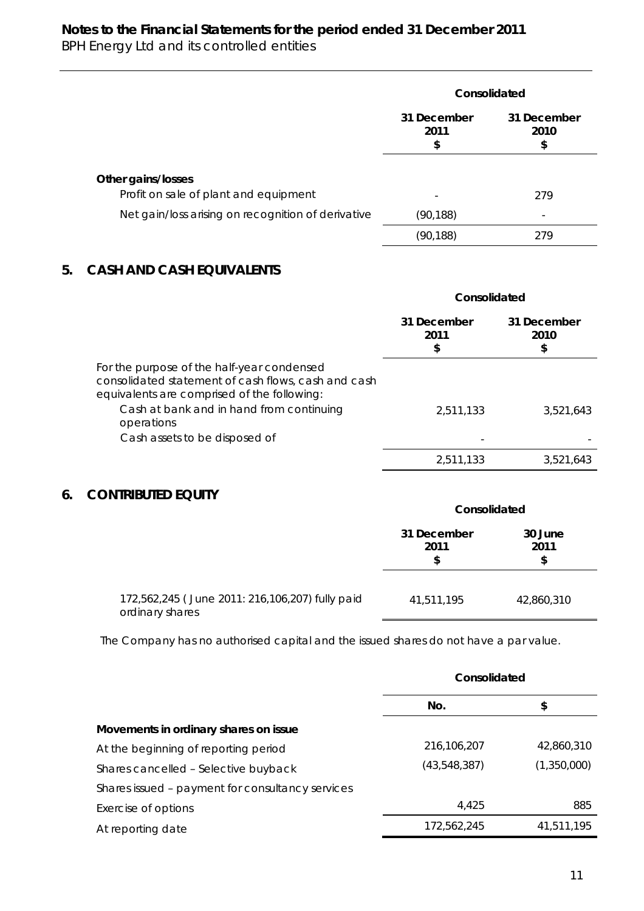#### **Notes to the Financial Statements for the period ended 31 December 2011** BPH Energy Ltd and its controlled entities

|                                                             | Consolidated             |                           |  |
|-------------------------------------------------------------|--------------------------|---------------------------|--|
|                                                             | 31 December<br>2011<br>S | 31 December<br>2010<br>\$ |  |
| Other gains/losses<br>Profit on sale of plant and equipment | $\overline{\phantom{0}}$ | 279                       |  |
| Net gain/loss arising on recognition of derivative          | (90,188)                 |                           |  |
|                                                             | (90,188)                 | 279                       |  |

#### **5. CASH AND CASH EQUIVALENTS**

|                                                                                                                                                  | Consolidated              |                           |  |
|--------------------------------------------------------------------------------------------------------------------------------------------------|---------------------------|---------------------------|--|
|                                                                                                                                                  | 31 December<br>2011<br>\$ | 31 December<br>2010<br>\$ |  |
| For the purpose of the half-year condensed<br>consolidated statement of cash flows, cash and cash<br>equivalents are comprised of the following: |                           |                           |  |
| Cash at bank and in hand from continuing<br>operations                                                                                           | 2.511.133                 | 3,521,643                 |  |
| Cash assets to be disposed of                                                                                                                    |                           |                           |  |
|                                                                                                                                                  | 2.511.133                 | 3,521,643                 |  |

#### **6. CONTRIBUTED EQUITY**

|                                                                    | Consolidated              |                       |  |
|--------------------------------------------------------------------|---------------------------|-----------------------|--|
|                                                                    | 31 December<br>2011<br>\$ | 30 June<br>2011<br>\$ |  |
| 172,562,245 (June 2011: 216,106,207) fully paid<br>ordinary shares | 41,511,195                | 42,860,310            |  |

The Company has no authorised capital and the issued shares do not have a par value.

|                                                  | Consolidated |             |
|--------------------------------------------------|--------------|-------------|
|                                                  | No.          | \$          |
| Movements in ordinary shares on issue            |              |             |
| At the beginning of reporting period             | 216,106,207  | 42,860,310  |
| Shares cancelled - Selective buyback             | (43,548,387) | (1,350,000) |
| Shares issued - payment for consultancy services |              |             |
| Exercise of options                              | 4.425        | 885         |
| At reporting date                                | 172,562,245  | 41,511,195  |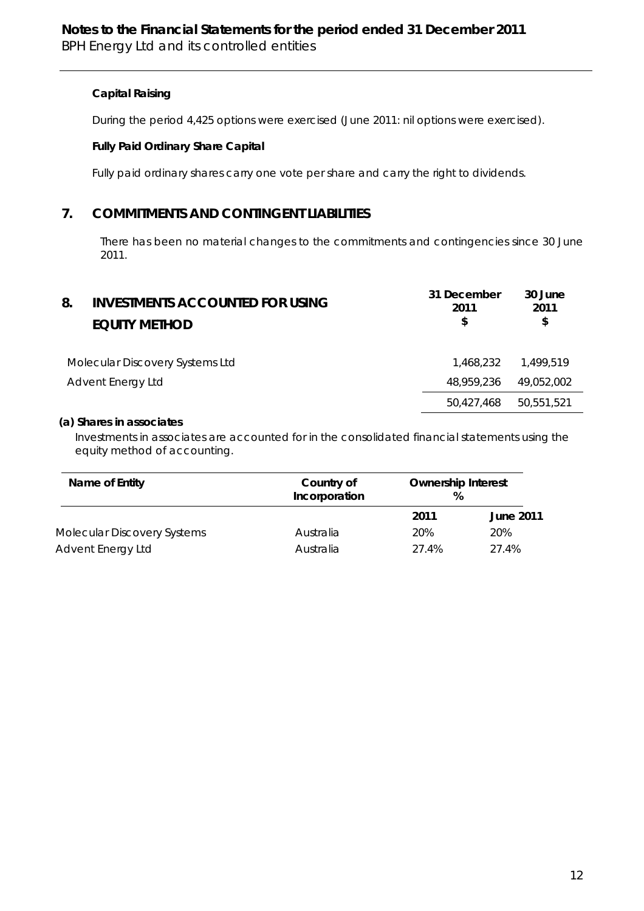#### **Capital Raising**

During the period 4,425 options were exercised (June 2011: nil options were exercised).

#### **Fully Paid Ordinary Share Capital**

Fully paid ordinary shares carry one vote per share and carry the right to dividends.

#### **7. COMMITMENTS AND CONTINGENT LIABILITIES**

There has been no material changes to the commitments and contingencies since 30 June 2011.

| 8. | <b>INVESTMENTS ACCOUNTED FOR USING</b><br><b>EQUITY METHOD</b> | 30 June<br>31 December<br>2011<br>2011<br>\$<br>\$ |  |
|----|----------------------------------------------------------------|----------------------------------------------------|--|
|    | Molecular Discovery Systems Ltd                                | 1.468.232<br>1.499.519                             |  |
|    | Advent Energy Ltd                                              | 48,959,236<br>49,052,002                           |  |
|    |                                                                | 50,551,521<br>50,427,468                           |  |

#### *(a) Shares in associates*

 Investments in associates are accounted for in the consolidated financial statements using the equity method of accounting.

| Name of Entity                     | Country of<br>Incorporation | <b>Ownership Interest</b><br>℅ |                  |
|------------------------------------|-----------------------------|--------------------------------|------------------|
|                                    |                             | 2011                           | <b>June 2011</b> |
| <b>Molecular Discovery Systems</b> | Australia                   | 20%                            | 20%              |
| Advent Energy Ltd                  | Australia                   | 27.4%                          | 27.4%            |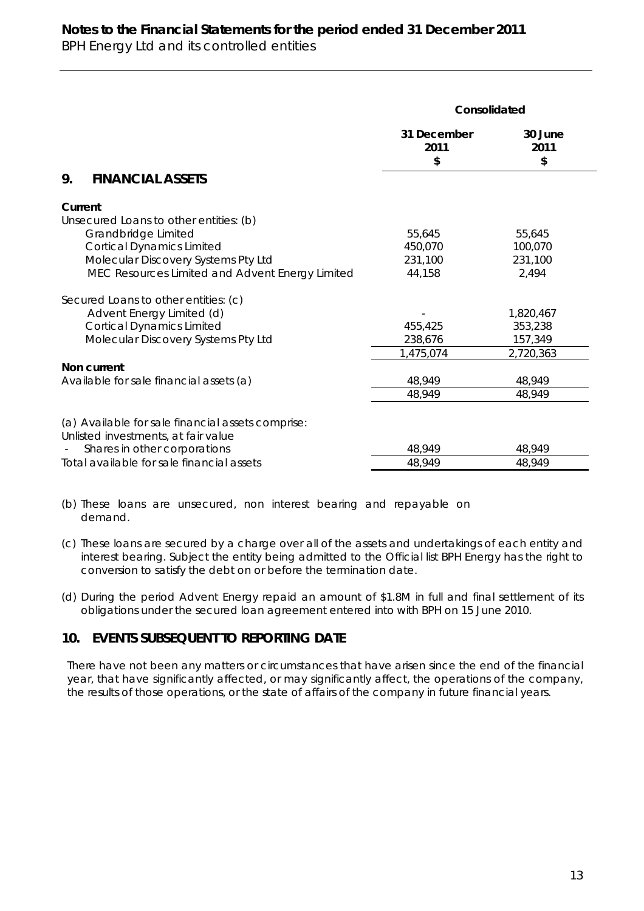#### **Notes to the Financial Statements for the period ended 31 December 2011** BPH Energy Ltd and its controlled entities

|                                                                                          | Consolidated              |                       |  |
|------------------------------------------------------------------------------------------|---------------------------|-----------------------|--|
|                                                                                          | 31 December<br>2011<br>\$ | 30 June<br>2011<br>\$ |  |
| <b>FINANCIAL ASSETS</b><br>9.                                                            |                           |                       |  |
| Current                                                                                  |                           |                       |  |
| Unsecured Loans to other entities: (b)                                                   |                           |                       |  |
| Grandbridge Limited                                                                      | 55,645                    | 55,645                |  |
| <b>Cortical Dynamics Limited</b>                                                         | 450,070                   | 100,070               |  |
| Molecular Discovery Systems Pty Ltd                                                      | 231,100                   | 231,100               |  |
| MEC Resources Limited and Advent Energy Limited                                          | 44,158                    | 2,494                 |  |
| Secured Loans to other entities: (c)                                                     |                           |                       |  |
| Advent Energy Limited (d)                                                                |                           | 1,820,467             |  |
| <b>Cortical Dynamics Limited</b>                                                         | 455,425                   | 353,238               |  |
| Molecular Discovery Systems Pty Ltd                                                      | 238,676                   | 157,349               |  |
|                                                                                          | 1,475,074                 | 2,720,363             |  |
| Non current                                                                              |                           |                       |  |
| Available for sale financial assets (a)                                                  | 48,949                    | 48,949                |  |
|                                                                                          | 48,949                    | 48,949                |  |
| (a) Available for sale financial assets comprise:<br>Unlisted investments, at fair value |                           |                       |  |
| Shares in other corporations                                                             | 48,949                    | 48,949                |  |
| Total available for sale financial assets                                                | 48,949                    | 48,949                |  |

(b) These loans are unsecured, non interest bearing and repayable on demand.

- (c) These loans are secured by a charge over all of the assets and undertakings of each entity and interest bearing. Subject the entity being admitted to the Official list BPH Energy has the right to conversion to satisfy the debt on or before the termination date.
- (d) During the period Advent Energy repaid an amount of \$1.8M in full and final settlement of its obligations under the secured loan agreement entered into with BPH on 15 June 2010.

#### **10. EVENTS SUBSEQUENT TO REPORTING DATE**

There have not been any matters or circumstances that have arisen since the end of the financial year, that have significantly affected, or may significantly affect, the operations of the company, the results of those operations, or the state of affairs of the company in future financial years.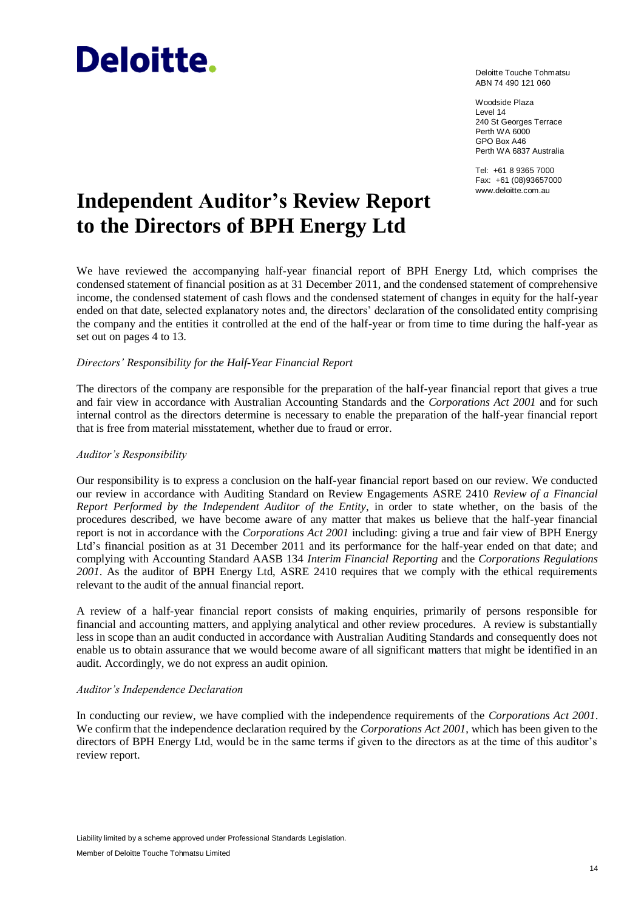# **Deloitte.**

Deloitte Touche Tohmatsu ABN 74 490 121 060

Woodside Plaza Level 14 240 St Georges Terrace Perth WA 6000 GPO Box A46 Perth WA 6837 Australia

Tel: +61 8 9365 7000 Fax: +61 (08)93657000

# Independent Auditor's Review Report **WWW.deloitte.com.au to the Directors of BPH Energy Ltd**

We have reviewed the accompanying half-year financial report of BPH Energy Ltd, which comprises the condensed statement of financial position as at 31 December 2011, and the condensed statement of comprehensive income, the condensed statement of cash flows and the condensed statement of changes in equity for the half-year ended on that date, selected explanatory notes and, the directors' declaration of the consolidated entity comprising the company and the entities it controlled at the end of the half-year or from time to time during the half-year as set out on pages 4 to 13.

#### *Directors' Responsibility for the Half-Year Financial Report*

The directors of the company are responsible for the preparation of the half-year financial report that gives a true and fair view in accordance with Australian Accounting Standards and the *Corporations Act 2001* and for such internal control as the directors determine is necessary to enable the preparation of the half-year financial report that is free from material misstatement, whether due to fraud or error.

#### *Auditor's Responsibility*

Our responsibility is to express a conclusion on the half-year financial report based on our review. We conducted our review in accordance with Auditing Standard on Review Engagements ASRE 2410 *Review of a Financial Report Performed by the Independent Auditor of the Entity*, in order to state whether, on the basis of the procedures described, we have become aware of any matter that makes us believe that the half-year financial report is not in accordance with the *Corporations Act 2001* including: giving a true and fair view of BPH Energy Ltd's financial position as at 31 December 2011 and its performance for the half-year ended on that date; and complying with Accounting Standard AASB 134 *Interim Financial Reporting* and the *Corporations Regulations 2001*. As the auditor of BPH Energy Ltd, ASRE 2410 requires that we comply with the ethical requirements relevant to the audit of the annual financial report.

A review of a half-year financial report consists of making enquiries, primarily of persons responsible for financial and accounting matters, and applying analytical and other review procedures. A review is substantially less in scope than an audit conducted in accordance with Australian Auditing Standards and consequently does not enable us to obtain assurance that we would become aware of all significant matters that might be identified in an audit. Accordingly, we do not express an audit opinion.

#### *Auditor's Independence Declaration*

In conducting our review, we have complied with the independence requirements of the *Corporations Act 2001*. We confirm that the independence declaration required by the *Corporations Act 2001*, which has been given to the directors of BPH Energy Ltd, would be in the same terms if given to the directors as at the time of this auditor's review report.

Liability limited by a scheme approved under Professional Standards Legislation.